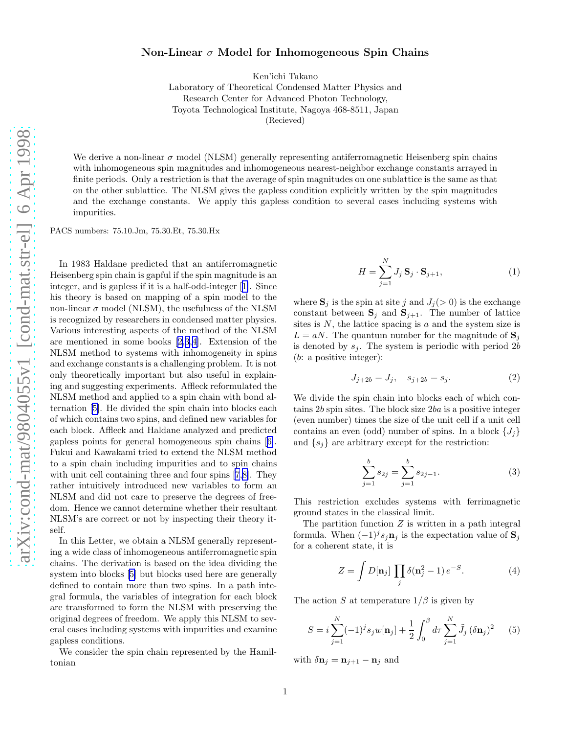## <span id="page-0-0"></span>Non-Linear  $\sigma$  Model for Inhomogeneous Spin Chains

Ken'ichi Takano

Laboratory of Theoretical Condensed Matter Physics and Research Center for Advanced Photon Technology, Toyota Technological Institute, Nagoya 468-8511, Japan (Recieved)

We derive a non-linear  $\sigma$  model (NLSM) generally representing antiferromagnetic Heisenberg spin chains with inhomogeneous spin magnitudes and inhomogeneous nearest-neighbor exchange constants arrayed in finite periods. Only a restriction is that the average of spin magnitudes on one sublattice is the same as that on the other sublattice. The NLSM gives the gapless condition explicitly written by the spin magnitudes and the exchange constants. We apply this gapless condition to several cases including systems with impurities.

PACS numbers: 75.10.Jm, 75.30.Et, 75.30.Hx

In 1983 Haldane predicted that an antiferromagnetic Heisenberg spin chain is gapful if the spin magnitude is an integer, and is gapless if it is a half-odd-integer[[1\]](#page-3-0). Since his theory is based on mapping of a spin model to the non-linear  $\sigma$  model (NLSM), the usefulness of the NLSM is recognized by researchers in condensed matter physics. Various interesting aspects of the method of the NLSM are mentioned in some books[[2](#page-3-0),[3,4\]](#page-3-0). Extension of the NLSM method to systems with inhomogeneity in spins and exchange constants is a challenging problem. It is not only theoretically important but also useful in explaining and suggesting experiments. Affleck reformulated the NLSM method and applied to a spin chain with bond alternation[[5\]](#page-3-0). He divided the spin chain into blocks each of which contains two spins, and defined new variables for each block. Affleck and Haldane analyzed and predicted gapless points for general homogeneous spin chains[[6\]](#page-3-0). Fukui and Kawakami tried to extend the NLSM method to a spin chain including impurities and to spin chains with unit cell containing three and four spins [\[7](#page-3-0),[8\]](#page-3-0). They rather intuitively introduced new variables to form an NLSM and did not care to preserve the degrees of freedom. Hence we cannot determine whether their resultant NLSM's are correct or not by inspecting their theory itself.

In this Letter, we obtain a NLSM generally representing a wide class of inhomogeneous antiferromagnetic spin chains. The derivation is based on the idea dividing the system into blocks[[5\]](#page-3-0) but blocks used here are generally defined to contain more than two spins. In a path integral formula, the variables of integration for each block are transformed to form the NLSM with preserving the original degrees of freedom. We apply this NLSM to several cases including systems with impurities and examine gapless conditions.

We consider the spin chain represented by the Hamiltonian

$$
H = \sum_{j=1}^{N} J_j \mathbf{S}_j \cdot \mathbf{S}_{j+1},
$$
\n(1)

where  $S_j$  is the spin at site j and  $J_j(>0)$  is the exchange constant between  $S_j$  and  $S_{j+1}$ . The number of lattice sites is  $N$ , the lattice spacing is  $a$  and the system size is  $L = aN$ . The quantum number for the magnitude of  $S_i$ is denoted by  $s_i$ . The system is periodic with period 2b (b: a positive integer):

$$
J_{j+2b} = J_j, \quad s_{j+2b} = s_j. \tag{2}
$$

We divide the spin chain into blocks each of which contains 2b spin sites. The block size 2ba is a positive integer (even number) times the size of the unit cell if a unit cell contains an even (odd) number of spins. In a block  $\{J_i\}$ and  $\{s_j\}$  are arbitrary except for the restriction:

$$
\sum_{j=1}^{b} s_{2j} = \sum_{j=1}^{b} s_{2j-1}.
$$
 (3)

This restriction excludes systems with ferrimagnetic ground states in the classical limit.

The partition function  $Z$  is written in a path integral formula. When  $(-1)^j s_j \mathbf{n}_j$  is the expectation value of  $\mathbf{S}_j$ for a coherent state, it is

$$
Z = \int D[\mathbf{n}_j] \prod_j \delta(\mathbf{n}_j^2 - 1) e^{-S}.
$$
 (4)

The action S at temperature  $1/\beta$  is given by

$$
S = i \sum_{j=1}^{N} (-1)^{j} s_{j} w[\mathbf{n}_{j}] + \frac{1}{2} \int_{0}^{\beta} d\tau \sum_{j=1}^{N} \tilde{J}_{j} (\delta \mathbf{n}_{j})^{2} \qquad (5)
$$

with  $\delta \mathbf{n}_j = \mathbf{n}_{j+1} - \mathbf{n}_j$  and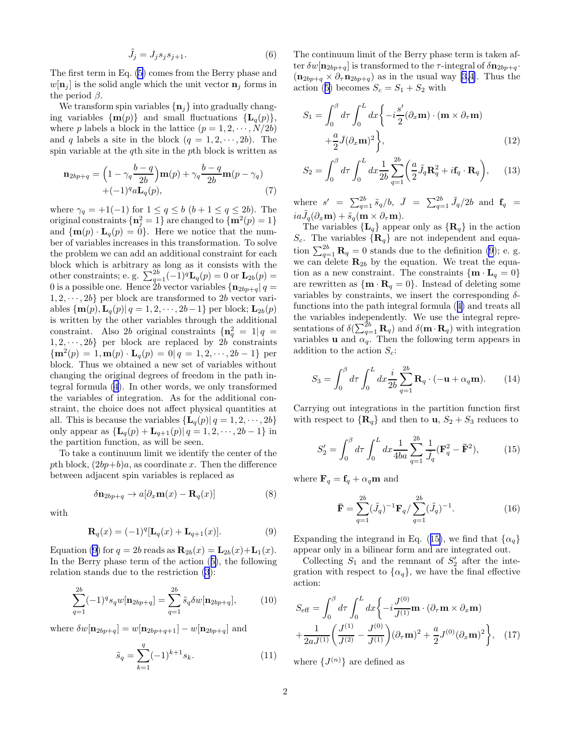$$
\tilde{J}_j = J_j s_j s_{j+1}.\tag{6}
$$

<span id="page-1-0"></span>The first term in Eq. [\(5](#page-0-0)) comes from the Berry phase and  $w[\mathbf{n}_i]$  is the solid angle which the unit vector  $\mathbf{n}_i$  forms in the period  $\beta$ .

We transform spin variables  $\{n_i\}$  into gradually changing variables  $\{\mathbf{m}(p)\}\$ and small fluctuations  $\{\mathbf{L}_q(p)\}\$ , where p labels a block in the lattice  $(p = 1, 2, \dots, N/2b)$ and q labels a site in the block  $(q = 1, 2, \dots, 2b)$ . The spin variable at the qth site in the pth block is written as

$$
\mathbf{n}_{2bp+q} = \left(1 - \gamma_q \frac{b-q}{2b}\right) \mathbf{m}(p) + \gamma_q \frac{b-q}{2b} \mathbf{m}(p - \gamma_q) + (-1)^q a \mathbf{L}_q(p),\tag{7}
$$

where  $\gamma_q = +1(-1)$  for  $1 \le q \le b$   $(b+1 \le q \le 2b)$ . The original constraints  $\{\mathbf{n}_j^2=1\}$  are changed to  $\{\mathbf{m}^2(p)=1\}$ and  $\{m(p) \cdot L_q(p) = 0\}$ . Here we notice that the number of variables increases in this transformation. To solve the problem we can add an additional constraint for each block which is arbitrary as long as it consists with the other constraints; e. g.  $\sum_{q=1}^{2b} (-1)^q \mathbf{L}_q(p) = 0$  or  $\mathbf{L}_{2b}(p) =$ 0 is a possible one. Hence  $2b$  vector variables  $\left\{ \mathbf{n}_{2bp+q} \right| q =$  $1, 2, \dots, 2b$  per block are transformed to 2b vector variables  $\{m(p), L_q(p) | q = 1, 2, \cdots, 2b-1\}$  per block;  $L_{2b}(p)$ is written by the other variables through the additional constraint. Also 2b original constraints  $\{n_q^2 = 1 | q =$  $1, 2, \dots, 2b$  per block are replaced by 2b constraints  ${m^2(p) = 1, m(p) \cdot L_q(p) = 0 | q = 1, 2, \dots, 2b-1}$  per block. Thus we obtained a new set of variables without changing the original degrees of freedom in the path integral formula [\(4](#page-0-0)). In other words, we only transformed the variables of integration. As for the additional constraint, the choice does not affect physical quantities at all. This is because the variables  $\{L_q(p) | q = 1, 2, \dots, 2b\}$ only appear as  ${\{\mathbf L}_q(p) + \mathbf L_{q+1}(p) | q = 1, 2, \dots, 2b-1\}$  in the partition function, as will be seen.

To take a continuum limit we identify the center of the pth block,  $(2bp+b)a$ , as coordinate x. Then the difference between adjacent spin variables is replaced as

$$
\delta \mathbf{n}_{2bp+q} \to a[\partial_x \mathbf{m}(x) - \mathbf{R}_q(x)] \tag{8}
$$

with

$$
\mathbf{R}_q(x) = (-1)^q [\mathbf{L}_q(x) + \mathbf{L}_{q+1}(x)]. \tag{9}
$$

Equation (9) for  $q = 2b$  reads as  $\mathbf{R}_{2b}(x) = \mathbf{L}_{2b}(x) + \mathbf{L}_{1}(x)$ . In the Berry phase term of the action([5\)](#page-0-0), the following relation stands due to the restriction [\(3](#page-0-0)):

$$
\sum_{q=1}^{2b} (-1)^q s_q w[\mathbf{n}_{2bp+q}] = \sum_{q=1}^{2b} \tilde{s}_q \delta w[\mathbf{n}_{2bp+q}], \qquad (10)
$$

where  $\delta w[\mathbf{n}_{2bp+q}] = w[\mathbf{n}_{2bp+q+1}] - w[\mathbf{n}_{2bp+q}]$  and

$$
\tilde{s}_q = \sum_{k=1}^q (-1)^{k+1} s_k.
$$
 (11)

The continuum limit of the Berry phase term is taken after  $\delta w[\mathbf{n}_{2bp+q}]$  is transformed to the  $\tau$ -integral of  $\delta \mathbf{n}_{2bp+q}$ .  $(\mathbf{n}_{2bp+q} \times \partial_{\tau} \mathbf{n}_{2bp+q})$  as in the usual way [\[3,4](#page-3-0)]. Thus the action([5\)](#page-0-0) becomes  $S_c = S_1 + S_2$  with

$$
S_1 = \int_0^\beta d\tau \int_0^L dx \left\{ -i \frac{s'}{2} (\partial_x \mathbf{m}) \cdot (\mathbf{m} \times \partial_\tau \mathbf{m}) + \frac{a}{2} \bar{J} (\partial_x \mathbf{m})^2 \right\},
$$
(12)

$$
S_2 = \int_0^\beta d\tau \int_0^L dx \frac{1}{2b} \sum_{q=1}^{2b} \left( \frac{a}{2} \tilde{J}_q \mathbf{R}_q^2 + i \mathbf{f}_q \cdot \mathbf{R}_q \right), \qquad (13)
$$

where  $s' = \sum_{q=1}^{2b} \tilde{s}_q/b$ ,  $\bar{J} = \sum_{q=1}^{2b} \tilde{J}_q/2b$  and  $\mathbf{f}_q =$  $ia\tilde{J}_q(\partial_x{\bf m}) + \tilde{s}_q({\bf m}\times\partial_\tau{\bf m}).$ 

The variables  $\{L_q\}$  appear only as  $\{R_q\}$  in the action  $S_c$ . The variables  $\{R_q\}$  are not independent and equation  $\sum_{q=1}^{2b} \mathbf{R}_q = 0$  stands due to the definition (9); e. g. we can delete  $\mathbf{R}_{2b}$  by the equation. We treat the equation as a new constraint. The constraints  $\{\mathbf{m} \cdot \mathbf{L}_q = 0\}$ are rewritten as  $\{ \mathbf{m} \cdot \mathbf{R}_q = 0 \}$ . Instead of deleting some variables by constraints, we insert the corresponding  $\delta$ functions into the path integral formula([4\)](#page-0-0) and treats all the variables independently. We use the integral representations of  $\delta(\sum_{q=1}^{2b} \mathbf{R}_q)$  and  $\delta(\mathbf{m} \cdot \mathbf{R}_q)$  with integration variables **u** and  $\alpha_q$ . Then the following term appears in addition to the action  $S_c$ :

$$
S_3 = \int_0^\beta d\tau \int_0^L dx \frac{i}{2b} \sum_{q=1}^{2b} \mathbf{R}_q \cdot (-\mathbf{u} + \alpha_q \mathbf{m}). \tag{14}
$$

Carrying out integrations in the partition function first with respect to  $\{R_q\}$  and then to  $u, S_2 + S_3$  reduces to

$$
S_2' = \int_0^\beta d\tau \int_0^L dx \frac{1}{4ba} \sum_{q=1}^{2b} \frac{1}{\tilde{J}_q} (\mathbf{F}_q^2 - \mathbf{\bar{F}}^2), \tag{15}
$$

where  $\mathbf{F}_q = \mathbf{f}_q + \alpha_q \mathbf{m}$  and

$$
\bar{\mathbf{F}} = \sum_{q=1}^{2b} (\tilde{J}_q)^{-1} \mathbf{F}_q / \sum_{q=1}^{2b} (\tilde{J}_q)^{-1}.
$$
 (16)

Expanding the integrand in Eq. (15), we find that  $\{\alpha_q\}$ appear only in a bilinear form and are integrated out.

Collecting  $S_1$  and the remnant of  $S'_2$  after the integration with respect to  $\{\alpha_q\}$ , we have the final effective action:

$$
S_{\text{eff}} = \int_0^\beta d\tau \int_0^L dx \left\{ -i \frac{J^{(0)}}{J^{(1)}} \mathbf{m} \cdot (\partial_\tau \mathbf{m} \times \partial_x \mathbf{m}) + \frac{1}{2a J^{(1)}} \left( \frac{J^{(1)}}{J^{(2)}} - \frac{J^{(0)}}{J^{(1)}} \right) (\partial_\tau \mathbf{m})^2 + \frac{a}{2} J^{(0)} (\partial_x \mathbf{m})^2 \right\}, \quad (17)
$$

where  $\{J^{(n)}\}$  are defined as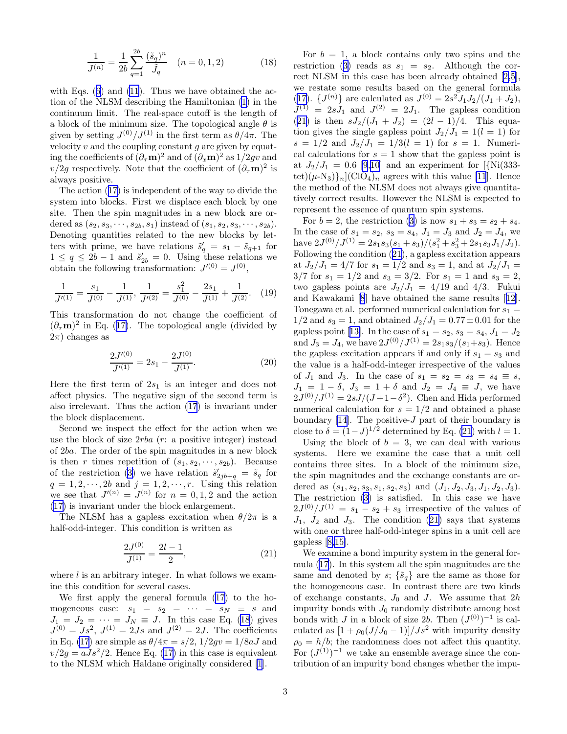$$
\frac{1}{J^{(n)}} = \frac{1}{2b} \sum_{q=1}^{2b} \frac{(\tilde{s}_q)^n}{\tilde{J}_q} \quad (n = 0, 1, 2)
$$
 (18)

<span id="page-2-0"></span>withEqs.  $(6)$  $(6)$  and  $(11)$ . Thus we have obtained the action of the NLSM describing the Hamiltonian [\(1](#page-0-0)) in the continuum limit. The real-space cutoff is the length of a block of the minimum size. The topological angle  $\theta$  is given by setting  $J^{(0)}/J^{(1)}$  in the first term as  $\theta/4\pi$ . The velocity  $v$  and the coupling constant  $q$  are given by equating the coefficients of  $(\partial_\tau \mathbf{m})^2$  and of  $(\partial_x \mathbf{m})^2$  as  $1/2gv$  and  $v/2g$  respectively. Note that the coefficient of  $(\partial_{\tau}\mathbf{m})^2$  is always positive.

The action([17\)](#page-1-0) is independent of the way to divide the system into blocks. First we displace each block by one site. Then the spin magnitudes in a new block are ordered as  $(s_2, s_3, \dots, s_{2b}, s_1)$  instead of  $(s_1, s_2, s_3, \dots, s_{2b})$ . Denoting quantities related to the new blocks by letters with prime, we have relations  $\tilde{s}'_q = s_1 - \tilde{s}_{q+1}$  for  $1 \leq q \leq 2b-1$  and  $\tilde{s}'_{2b} = 0$ . Using these relations we obtain the following transformation:  $J^{(0)} = J^{(0)}$ ,

$$
\frac{1}{J^{(1)}} = \frac{s_1}{J^{(0)}} - \frac{1}{J^{(1)}}, \frac{1}{J^{(2)}} = \frac{s_1^2}{J^{(0)}} - \frac{2s_1}{J^{(1)}} + \frac{1}{J^{(2)}}.
$$
 (19)

This transformation do not change the coefficient of  $(\partial_{\tau} m)^2$  $(\partial_{\tau} m)^2$  $(\partial_{\tau} m)^2$  in Eq. ([17\)](#page-1-0). The topological angle (divided by  $2\pi$ ) changes as

$$
\frac{2J^{(0)}}{J^{(1)}} = 2s_1 - \frac{2J^{(0)}}{J^{(1)}}.
$$
\n(20)

Here the first term of  $2s_1$  is an integer and does not affect physics. The negative sign of the second term is also irrelevant. Thus the action [\(17](#page-1-0)) is invariant under the block displacement.

Second we inspect the effect for the action when we use the block of size  $2rba$  (r: a positive integer) instead of 2ba. The order of the spin magnitudes in a new block is then r times repetition of  $(s_1, s_2, \dots, s_{2b})$ . Because ofthe restriction ([3\)](#page-0-0) we have relation  $\tilde{s}'_{2jb+q} = \tilde{s}_q$  for  $q = 1, 2, \dots, 2b$  and  $j = 1, 2, \dots, r$ . Using this relation we see that  $J^{(n)} = J^{(n)}$  for  $n = 0, 1, 2$  and the action ([17\)](#page-1-0) is invariant under the block enlargement.

The NLSM has a gapless excitation when  $\theta/2\pi$  is a half-odd-integer. This condition is written as

$$
\frac{2J^{(0)}}{J^{(1)}} = \frac{2l-1}{2},\tag{21}
$$

where  $l$  is an arbitrary integer. In what follows we examine this condition for several cases.

We first apply the general formula([17\)](#page-1-0) to the homogeneous case:  $s_1 = s_2 = \cdots = s_N \equiv s$  and  $J_1 = J_2 = \cdots = J_N \equiv J$ . In this case Eq. (18) gives  $J^{(0)} = Js^2$ ,  $J^{(1)} = 2Js$  and  $J^{(2)} = 2J$ . The coefficients in Eq. [\(17](#page-1-0)) are simple as  $\theta/4\pi = s/2$ ,  $1/2gv = 1/8aJ$  and  $v/2g = aJs^2/2$  $v/2g = aJs^2/2$  $v/2g = aJs^2/2$ . Hence Eq. ([17\)](#page-1-0) in this case is equivalent to the NLSM which Haldane originally considered [\[1](#page-3-0)].

For  $b = 1$ , a block contains only two spins and the restriction([3\)](#page-0-0) reads as  $s_1 = s_2$ . Although the correct NLSM in this case has been already obtained[[2,5\]](#page-3-0), we restate some results based on the general formula ([17\)](#page-1-0).  $\{J^{(n)}\}$  are calculated as  $J^{(0)} = 2s^2 J_1 J_2 / (J_1 + J_2),$  $J^{(1)} = 2sJ_1$  and  $J^{(2)} = 2J_1$ . The gapless condition (21) is then  $sJ_2/(J_1+J_2) = (2l-1)/4$ . This equation gives the single gapless point  $J_2/J_1 = 1(l = 1)$  for  $s = 1/2$  and  $J_2/J_1 = 1/3(l = 1)$  for  $s = 1$ . Numerical calculations for  $s = 1$  show that the gapless point is at  $J_2/J_1 = 0.6$  [\[9,10](#page-3-0)] and an experiment for [{Ni(333tet) $(\mu-\mathrm{N}_3)$ <sub>n</sub>](ClO<sub>4</sub>)<sub>n</sub> agrees with this value [\[11](#page-3-0)]. Hence the method of the NLSM does not always give quantitatively correct results. However the NLSM is expected to represent the essence of quantum spin systems.

For  $b = 2$ , the restriction [\(3](#page-0-0)) is now  $s_1 + s_3 = s_2 + s_4$ . In the case of  $s_1 = s_2$ ,  $s_3 = s_4$ ,  $J_1 = J_3$  and  $J_2 = J_4$ , we have  $2J^{(0)}/J^{(1)} = 2s_1s_3(s_1+s_3)/(s_1^2+s_3^2+2s_1s_3J_1/J_2).$ Following the condition (21), a gapless excitation appears at  $J_2/J_1 = 4/7$  for  $s_1 = 1/2$  and  $s_3 = 1$ , and at  $J_2/J_1 =$  $3/7$  for  $s_1 = 1/2$  and  $s_3 = 3/2$ . For  $s_1 = 1$  and  $s_3 = 2$ , two gapless points are  $J_2/J_1 = 4/19$  and  $4/3$ . Fukui and Kawakami [\[8](#page-3-0)] have obtained the same results[[12\]](#page-3-0). Tonegawa et al. performed numerical calculation for  $s_1 =$  $1/2$  and  $s_3 = 1$ , and obtained  $J_2/J_1 = 0.77 \pm 0.01$  for the gaplesspoint [[13\]](#page-3-0). In the case of  $s_1 = s_2, s_3 = s_4, J_1 = J_2$ and  $J_3 = J_4$ , we have  $2J^{(0)}/J^{(1)} = 2s_1s_3/(s_1+s_3)$ . Hence the gapless excitation appears if and only if  $s_1 = s_3$  and the value is a half-odd-integer irrespective of the values of  $J_1$  and  $J_3$ . In the case of  $s_1 = s_2 = s_3 = s_4 \equiv s$ ,  $J_1 = 1 - \delta$ ,  $J_3 = 1 + \delta$  and  $J_2 = J_4 \equiv J$ , we have  $2J^{(0)}/J^{(1)} = 2sJ/(J+1-\delta^2)$ . Chen and Hida performed numerical calculation for  $s = 1/2$  and obtained a phase boundary[[14\]](#page-3-0). The positive- $J$  part of their boundary is close to  $\delta = (1-J)^{1/2}$  determined by Eq. (21) with  $l = 1$ .

Using the block of  $b = 3$ , we can deal with various systems. Here we examine the case that a unit cell contains three sites. In a block of the minimum size, the spin magnitudes and the exchange constants are ordered as  $(s_1, s_2, s_3, s_1, s_2, s_3)$  and  $(J_1, J_2, J_3, J_1, J_2, J_3)$ . The restriction([3\)](#page-0-0) is satisfied. In this case we have  $2J^{(0)}/J^{(1)} = s_1 - s_2 + s_3$  irrespective of the values of  $J_1$ ,  $J_2$  and  $J_3$ . The condition (21) says that systems with one or three half-odd-integer spins in a unit cell are gapless[[8,15\]](#page-3-0).

We examine a bond impurity system in the general formula([17\)](#page-1-0). In this system all the spin magnitudes are the same and denoted by s;  $\{\tilde{s}_q\}$  are the same as those for the homogeneous case. In contrast there are two kinds of exchange constants,  $J_0$  and J. We assume that  $2h$ impurity bonds with  $J_0$  randomly distribute among host bonds with J in a block of size 2b. Then  $(J^{(0)})^{-1}$  is calculated as  $[1 + \rho_0(J/J_0 - 1)]/Js^2$  with impurity density  $\rho_0 = h/b$ ; the randomness does not affect this quantity. For  $(J^{(1)})^{-1}$  we take an ensemble average since the contribution of an impurity bond changes whether the impu